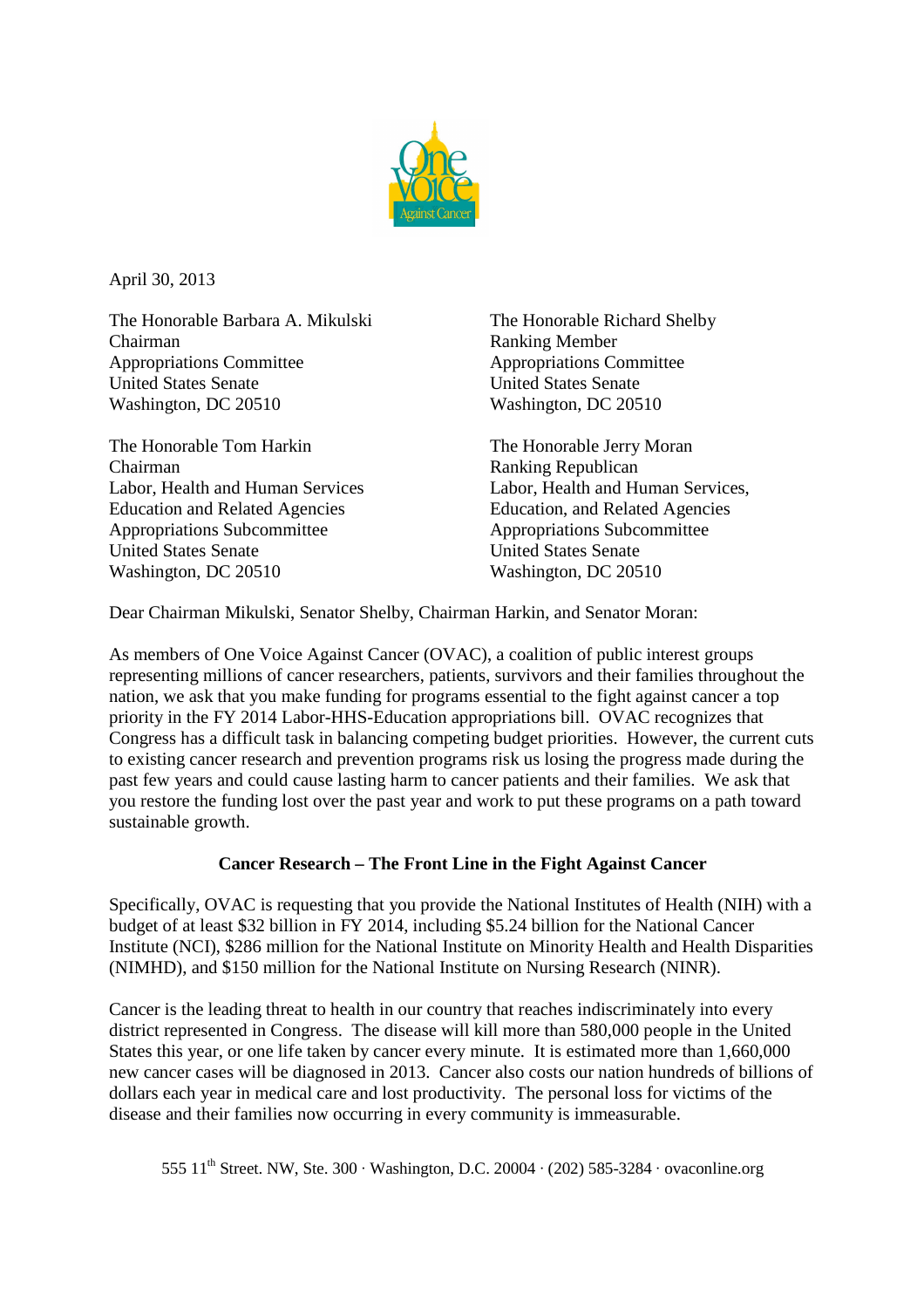

April 30, 2013

The Honorable Barbara A. Mikulski The Honorable Richard Shelby Chairman Ranking Member Appropriations Committee Appropriations Committee Appropriations Committee United States Senate United States Senate Washington, DC 20510 Washington, DC 20510

The Honorable Tom Harkin The Honorable Jerry Moran Chairman Ranking Republican Education and Related Agencies Education, and Related Agencies Appropriations Subcommittee Appropriations Subcommittee United States Senate United States Senate Washington, DC 20510 Washington, DC 20510

Labor, Health and Human Services Labor, Health and Human Services,

Dear Chairman Mikulski, Senator Shelby, Chairman Harkin, and Senator Moran:

As members of One Voice Against Cancer (OVAC), a coalition of public interest groups representing millions of cancer researchers, patients, survivors and their families throughout the nation, we ask that you make funding for programs essential to the fight against cancer a top priority in the FY 2014 Labor-HHS-Education appropriations bill. OVAC recognizes that Congress has a difficult task in balancing competing budget priorities. However, the current cuts to existing cancer research and prevention programs risk us losing the progress made during the past few years and could cause lasting harm to cancer patients and their families. We ask that you restore the funding lost over the past year and work to put these programs on a path toward sustainable growth.

## **Cancer Research – The Front Line in the Fight Against Cancer**

Specifically, OVAC is requesting that you provide the National Institutes of Health (NIH) with a budget of at least \$32 billion in FY 2014, including \$5.24 billion for the National Cancer Institute (NCI), \$286 million for the National Institute on Minority Health and Health Disparities (NIMHD), and \$150 million for the National Institute on Nursing Research (NINR).

Cancer is the leading threat to health in our country that reaches indiscriminately into every district represented in Congress. The disease will kill more than 580,000 people in the United States this year, or one life taken by cancer every minute. It is estimated more than 1,660,000 new cancer cases will be diagnosed in 2013. Cancer also costs our nation hundreds of billions of dollars each year in medical care and lost productivity. The personal loss for victims of the disease and their families now occurring in every community is immeasurable.

555  $11<sup>th</sup>$  Street. NW, Ste. 300 · Washington, D.C. 20004 · (202) 585-3284 · ovaconline.org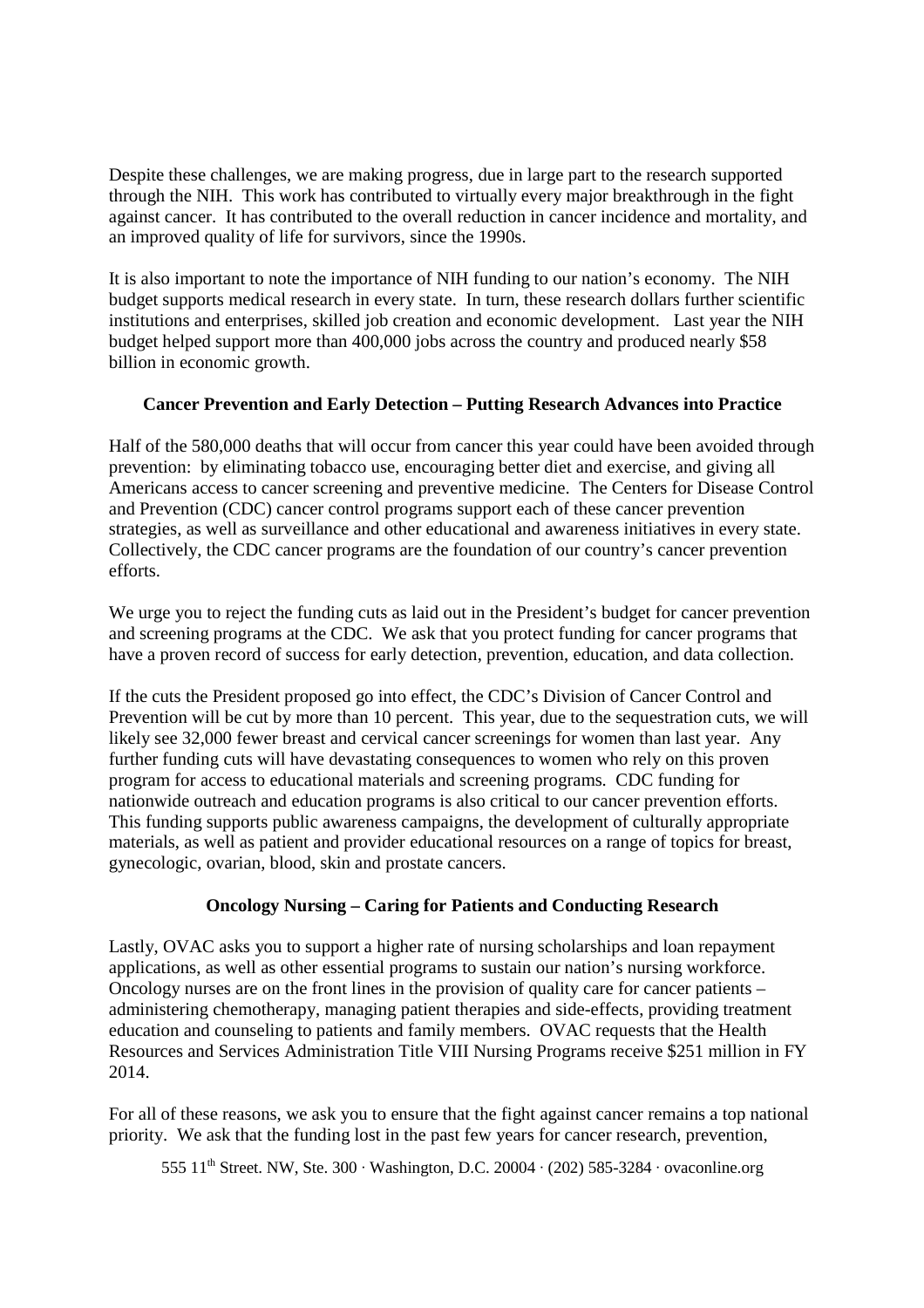Despite these challenges, we are making progress, due in large part to the research supported through the NIH. This work has contributed to virtually every major breakthrough in the fight against cancer. It has contributed to the overall reduction in cancer incidence and mortality, and an improved quality of life for survivors, since the 1990s.

It is also important to note the importance of NIH funding to our nation's economy. The NIH budget supports medical research in every state. In turn, these research dollars further scientific institutions and enterprises, skilled job creation and economic development. Last year the NIH budget helped support more than 400,000 jobs across the country and produced nearly \$58 billion in economic growth.

## **Cancer Prevention and Early Detection – Putting Research Advances into Practice**

Half of the 580,000 deaths that will occur from cancer this year could have been avoided through prevention: by eliminating tobacco use, encouraging better diet and exercise, and giving all Americans access to cancer screening and preventive medicine. The Centers for Disease Control and Prevention (CDC) cancer control programs support each of these cancer prevention strategies, as well as surveillance and other educational and awareness initiatives in every state. Collectively, the CDC cancer programs are the foundation of our country's cancer prevention efforts.

We urge you to reject the funding cuts as laid out in the President's budget for cancer prevention and screening programs at the CDC. We ask that you protect funding for cancer programs that have a proven record of success for early detection, prevention, education, and data collection.

If the cuts the President proposed go into effect, the CDC's Division of Cancer Control and Prevention will be cut by more than 10 percent. This year, due to the sequestration cuts, we will likely see 32,000 fewer breast and cervical cancer screenings for women than last year. Any further funding cuts will have devastating consequences to women who rely on this proven program for access to educational materials and screening programs. CDC funding for nationwide outreach and education programs is also critical to our cancer prevention efforts. This funding supports public awareness campaigns, the development of culturally appropriate materials, as well as patient and provider educational resources on a range of topics for breast, gynecologic, ovarian, blood, skin and prostate cancers.

## **Oncology Nursing – Caring for Patients and Conducting Research**

Lastly, OVAC asks you to support a higher rate of nursing scholarships and loan repayment applications, as well as other essential programs to sustain our nation's nursing workforce. Oncology nurses are on the front lines in the provision of quality care for cancer patients – administering chemotherapy, managing patient therapies and side-effects, providing treatment education and counseling to patients and family members. OVAC requests that the Health Resources and Services Administration Title VIII Nursing Programs receive \$251 million in FY 2014.

For all of these reasons, we ask you to ensure that the fight against cancer remains a top national priority. We ask that the funding lost in the past few years for cancer research, prevention,

555  $11<sup>th</sup>$  Street. NW, Ste. 300 · Washington, D.C. 20004 · (202) 585-3284 · ovaconline.org